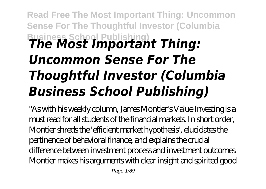## **Read Free The Most Important Thing: Uncommon Sense For The Thoughtful Investor (Columbia Business School Publishing)** *The Most Important Thing: Uncommon Sense For The Thoughtful Investor (Columbia Business School Publishing)*

"As with his weekly column, James Montier's Value Investing is a must read for all students of the financial markets. In short order, Montier shreds the 'efficient market hypothesis', elucidates the pertinence of behavioral finance, and explains the crucial difference between investment process and investment outcomes. Montier makes his arguments with clear insight and spirited good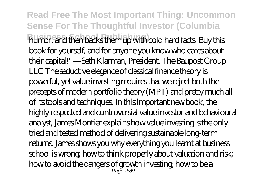**Read Free The Most Important Thing: Uncommon Sense For The Thoughtful Investor (Columbia Business School Publishing)** humor, and then backs them up with cold hard facts. Buy this book for yourself, and for anyone you know who cares about their capital!" —Seth Klarman, President, The Baupost Group LLC The seductive elegance of classical finance theory is powerful, yet value investing requires that we reject both the precepts of modern portfolio theory (MPT) and pretty much all of its tools and techniques. In this important new book, the highly respected and controversial value investor and behavioural analyst, James Montier explains how value investing is the only tried and tested method of delivering sustainable long-term returns. James shows you why everything you learnt at business school is wrong; how to think properly about valuation and risk; how to avoid the dangers of growth investing; how to be a Page 2/89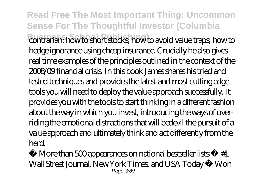**Read Free The Most Important Thing: Uncommon Sense For The Thoughtful Investor (Columbia Business School Publishing)** contrarian; how to short stocks; how to avoid value traps; how to hedge ignorance using cheap insurance. Crucially he also gives real time examples of the principles outlined in the context of the 2008/09 financial crisis. In this book James shares his tried and tested techniques and provides the latest and most cutting edge tools you will need to deploy the value approach successfully. It provides you with the tools to start thinking in a different fashion about the way in which you invest, introducing the ways of overriding the emotional distractions that will bedevil the pursuit of a value approach and ultimately think and act differently from the herd.

More than 500 appearances on national bestseller lists •  $#1$ Wall Street Journal, New York Times, and USA Today • Won Page 3/89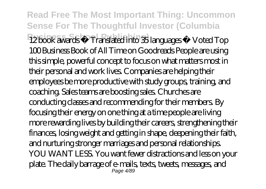**Read Free The Most Important Thing: Uncommon Sense For The Thoughtful Investor (Columbia Business School Publishing)** 12 book awards • Translated into 35 languages • Voted Top 100 Business Book of All Time on Goodreads People are using this simple, powerful concept to focus on what matters most in their personal and work lives. Companies are helping their employees be more productive with study groups, training, and coaching. Sales teams are boosting sales. Churches are conducting classes and recommending for their members. By focusing their energy on one thing at a time people are living more rewarding lives by building their careers, strengthening their finances, losing weight and getting in shape, deepening their faith, and nurturing stronger marriages and personal relationships. YOU WANT LESS. You want fewer distractions and less on your plate. The daily barrage of e-mails, texts, tweets, messages, and Page 4/80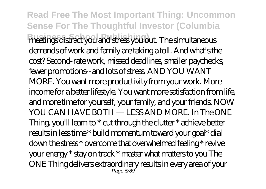**Read Free The Most Important Thing: Uncommon Sense For The Thoughtful Investor (Columbia Business School Publishing)** meetings distract you and stress you out. The simultaneous demands of work and family are taking a toll. And what's the cost? Second-rate work, missed deadlines, smaller paychecks, fewer promotions--and lots of stress. AND YOU WANT MORE. You want more productivity from your work. More income for a better lifestyle. You want more satisfaction from life, and more time for yourself, your family, and your friends. NOW YOU CAN HAVE BOTH — LESS AND MORE. In The ONE Thing, you'll learn to \* cut through the clutter \* achieve better results in less time \* build momentum toward your goal\* dial down the stress \* overcome that overwhelmed feeling \* revive your energy \* stay on track \* master what matters to you The ONE Thing delivers extraordinary results in every area of your Page 5/89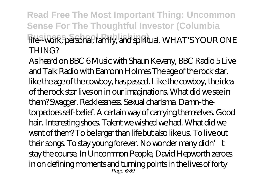**Read Free The Most Important Thing: Uncommon Sense For The Thoughtful Investor (Columbia Business School Publishing)** life--work, personal, family, and spiritual. WHAT'S YOUR ONE THING?

As heard on BBC 6 Music with Shaun Keveny, BBC Radio 5 Live and Talk Radio with Eamonn Holmes The age of the rock star, like the age of the cowboy, has passed. Like the cowboy, the idea of the rock star lives on in our imaginations. What did we see in them? Swagger. Recklessness. Sexual charisma. Damn-thetorpedoes self-belief. A certain way of carrying themselves. Good hair. Interesting shoes. Talent we wished we had. What did we want of them? To be larger than life but also like us. To live out their songs. To stay young forever. No wonder many didn't stay the course. In Uncommon People, David Hepworth zeroes in on defining moments and turning points in the lives of forty Page 6/89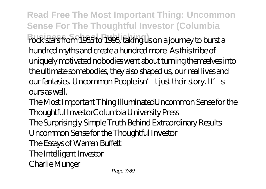**Read Free The Most Important Thing: Uncommon Sense For The Thoughtful Investor (Columbia** rock stars from 1955 to 1995, taking us on a journey to burst a hundred myths and create a hundred more. As this tribe of uniquely motivated nobodies went about turning themselves into the ultimate somebodies, they also shaped us, our real lives and our fantasies. Uncommon People isn't just their story. It's ours as well.

The Most Important Thing IlluminatedUncommon Sense for the Thoughtful InvestorColumbia University Press The Surprisingly Simple Truth Behind Extraordinary Results Uncommon Sense for the Thoughtful Investor The Essays of Warren Buffett The Intelligent Investor Charlie Munger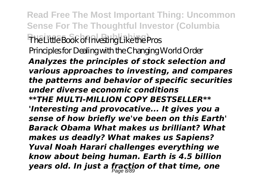**Read Free The Most Important Thing: Uncommon Sense For The Thoughtful Investor (Columbia Business School Publishing)** The Little Book of Investing Like the Pros Principles for Dealing with the Changing World Order

*Analyzes the principles of stock selection and various approaches to investing, and compares the patterns and behavior of specific securities under diverse economic conditions \*\*THE MULTI-MILLION COPY BESTSELLER\*\* 'Interesting and provocative... It gives you a sense of how briefly we've been on this Earth' Barack Obama What makes us brilliant? What makes us deadly? What makes us Sapiens? Yuval Noah Harari challenges everything we know about being human. Earth is 4.5 billion years old. In just a fraction of that time, one* Page 8/89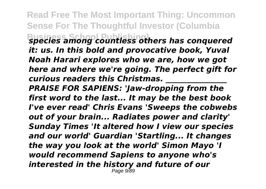**Read Free The Most Important Thing: Uncommon Sense For The Thoughtful Investor (Columbia**

**Business School Publishing)** *species among countless others has conquered it: us. In this bold and provocative book, Yuval Noah Harari explores who we are, how we got here and where we're going. The perfect gift for curious readers this Christmas. \_\_\_\_\_\_\_\_\_\_\_\_\_\_\_\_*

*PRAISE FOR SAPIENS: 'Jaw-dropping from the first word to the last... It may be the best book I've ever read' Chris Evans 'Sweeps the cobwebs out of your brain... Radiates power and clarity' Sunday Times 'It altered how I view our species and our world' Guardian 'Startling... It changes the way you look at the world' Simon Mayo 'I would recommend Sapiens to anyone who's interested in the history and future of our* Page 9/89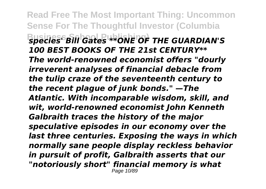**Read Free The Most Important Thing: Uncommon Sense For The Thoughtful Investor (Columbia Business School Publishing)** *species' Bill Gates \*\*ONE OF THE GUARDIAN'S 100 BEST BOOKS OF THE 21st CENTURY\*\* The world-renowned economist offers "dourly irreverent analyses of financial debacle from the tulip craze of the seventeenth century to the recent plague of junk bonds." —The Atlantic. With incomparable wisdom, skill, and wit, world-renowned economist John Kenneth Galbraith traces the history of the major speculative episodes in our economy over the last three centuries. Exposing the ways in which normally sane people display reckless behavior in pursuit of profit, Galbraith asserts that our "notoriously short" financial memory is what* Page 10/89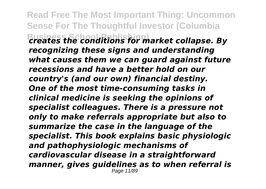**Read Free The Most Important Thing: Uncommon Sense For The Thoughtful Investor (Columbia Business School Publishing)** *creates the conditions for market collapse. By recognizing these signs and understanding what causes them we can guard against future recessions and have a better hold on our country's (and our own) financial destiny. One of the most time-consuming tasks in clinical medicine is seeking the opinions of specialist colleagues. There is a pressure not only to make referrals appropriate but also to summarize the case in the language of the specialist. This book explains basic physiologic and pathophysiologic mechanisms of cardiovascular disease in a straightforward manner, gives guidelines as to when referral is* Page 11/89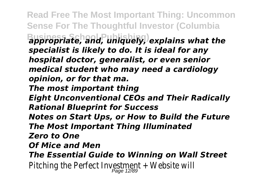**Read Free The Most Important Thing: Uncommon Sense For The Thoughtful Investor (Columbia Business School Publishing)** *appropriate, and, uniquely, explains what the specialist is likely to do. It is ideal for any hospital doctor, generalist, or even senior medical student who may need a cardiology opinion, or for that ma. The most important thing Eight Unconventional CEOs and Their Radically Rational Blueprint for Success Notes on Start Ups, or How to Build the Future The Most Important Thing Illuminated Zero to One Of Mice and Men The Essential Guide to Winning on Wall Street* Pitching the Perfect Investment + Website will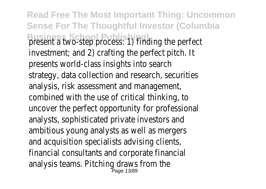**Read Free The Most Important Thing: Uncommon Sense For The Thoughtful Investor (Columbia Business School Publishing**<br> **Business: 1)** finding the perfect investment; and 2) crafting the perfect pitch. It presents world-class insights into search strategy, data collection and research, securities analysis, risk assessment and management, combined with the use of critical thinking, to uncover the perfect opportunity for professional analysts, sophisticated private investors and ambitious young analysts as well as mergers and acquisition specialists advising clients, financial consultants and corporate financial analysis teams. Pitching draws from the Page 13/89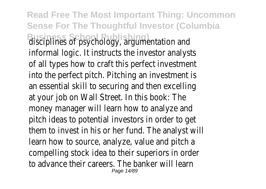**Read Free The Most Important Thing: Uncommon Sense For The Thoughtful Investor (Columbia** disciplines of psychology, argumentation and informal logic. It instructs the investor analysts of all types how to craft this perfect investment into the perfect pitch. Pitching an investment is an essential skill to securing and then excelling at your job on Wall Street. In this book: The money manager will learn how to analyze and pitch ideas to potential investors in order to get them to invest in his or her fund. The analyst will learn how to source, analyze, value and pitch a compelling stock idea to their superiors in order to advance their careers. The banker will learn Page 14/89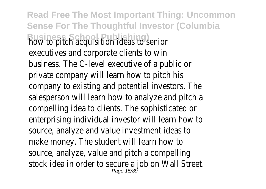**Read Free The Most Important Thing: Uncommon Sense For The Thoughtful Investor (Columbia Business School Publishing** executives and corporate clients to win business. The C-level executive of a public or private company will learn how to pitch his company to existing and potential investors. The salesperson will learn how to analyze and pitch a compelling idea to clients. The sophisticated or enterprising individual investor will learn how to source, analyze and value investment ideas to make money. The student will learn how to source, analyze, value and pitch a compelling stock idea in order to secure a job on Wall Street.<br>Page 15/89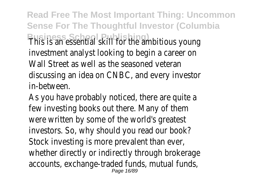**Read Free The Most Important Thing: Uncommon Sense For The Thoughtful Investor (Columbia Business School Skill for the ambitious young** investment analyst looking to begin a career on Wall Street as well as the seasoned veteran discussing an idea on CNBC, and every investor in-between.

As you have probably noticed, there are quite a few investing books out there. Many of them were written by some of the world's greatest investors. So, why should you read our book? Stock investing is more prevalent than ever, whether directly or indirectly through brokerage accounts, exchange-traded funds, mutual funds, Page 16/89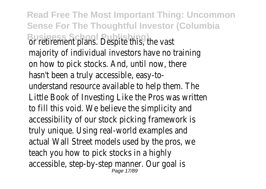**Read Free The Most Important Thing: Uncommon Sense For The Thoughtful Investor (Columbia Business School Publishing**<br> **Business School Publishers** Contribution of the vast majority of individual investors have no training on how to pick stocks. And, until now, there hasn't been a truly accessible, easy-tounderstand resource available to help them. The Little Book of Investing Like the Pros was written to fill this void. We believe the simplicity and accessibility of our stock picking framework is truly unique. Using real-world examples and actual Wall Street models used by the pros, we teach you how to pick stocks in a highly accessible, step-by-step manner. Our goal is Page 17/89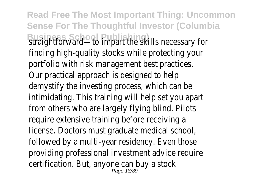**Read Free The Most Important Thing: Uncommon Sense For The Thoughtful Investor (Columbia Business School Publishing Straightforward—to impart the skills necessary for** finding high-quality stocks while protecting your portfolio with risk management best practices. Our practical approach is designed to help demystify the investing process, which can be intimidating. This training will help set you apart from others who are largely flying blind. Pilots require extensive training before receiving a license. Doctors must graduate medical school, followed by a multi-year residency. Even those providing professional investment advice require certification. But, anyone can buy a stock Page 18/89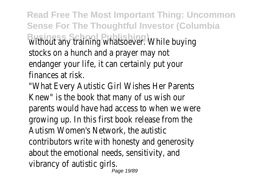**Read Free The Most Important Thing: Uncommon Sense For The Thoughtful Investor (Columbia Business School Publishing)** without any training whatsoever. While buying stocks on a hunch and a prayer may not endanger your life, it can certainly put your finances at risk.

"What Every Autistic Girl Wishes Her Parents Knew" is the book that many of us wish our parents would have had access to when we were growing up. In this first book release from the Autism Women's Network, the autistic contributors write with honesty and generosity about the emotional needs, sensitivity, and vibrancy of autistic girls.

Page 19/89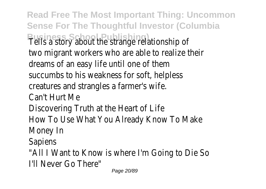**Read Free The Most Important Thing: Uncommon Sense For The Thoughtful Investor (Columbia Business School Publishing)** Tells a story about the strange relationship of two migrant workers who are able to realize their dreams of an easy life until one of them succumbs to his weakness for soft, helpless creatures and strangles a farmer's wife. Can't Hurt Me Discovering Truth at the Heart of Life How To Use What You Already Know To Make Money In Sapiens "All I Want to Know is where I'm Going to Die So I'll Never Go There" Page 20/89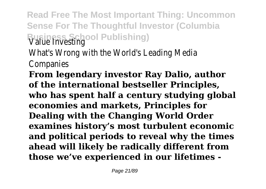**Read Free The Most Important Thing: Uncommon Sense For The Thoughtful Investor (Columbia Business School Publishing)** Value Investing

What's Wrong with the World's Leading Media

Companies

**From legendary investor Ray Dalio, author of the international bestseller Principles, who has spent half a century studying global economies and markets, Principles for Dealing with the Changing World Order examines history's most turbulent economic and political periods to reveal why the times ahead will likely be radically different from those we've experienced in our lifetimes -**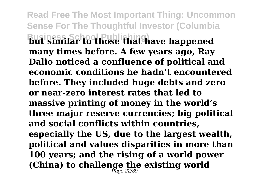**Read Free The Most Important Thing: Uncommon Sense For The Thoughtful Investor (Columbia Business School Publishing) but similar to those that have happened many times before. A few years ago, Ray Dalio noticed a confluence of political and economic conditions he hadn't encountered before. They included huge debts and zero or near-zero interest rates that led to massive printing of money in the world's three major reserve currencies; big political and social conflicts within countries, especially the US, due to the largest wealth, political and values disparities in more than 100 years; and the rising of a world power (China) to challenge the existing world** Page 22/89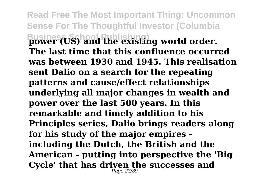**Read Free The Most Important Thing: Uncommon Sense For The Thoughtful Investor (Columbia Busines (US) and the existing world order. The last time that this confluence occurred was between 1930 and 1945. This realisation sent Dalio on a search for the repeating patterns and cause/effect relationships underlying all major changes in wealth and power over the last 500 years. In this remarkable and timely addition to his Principles series, Dalio brings readers along for his study of the major empires including the Dutch, the British and the American - putting into perspective the 'Big Cycle' that has driven the successes and** Page 23/89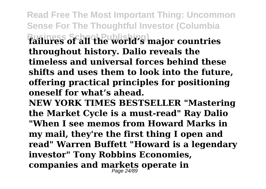**Read Free The Most Important Thing: Uncommon Sense For The Thoughtful Investor (Columbia Business School Publishing) failures of all the world's major countries throughout history. Dalio reveals the timeless and universal forces behind these shifts and uses them to look into the future, offering practical principles for positioning oneself for what's ahead.**

**NEW YORK TIMES BESTSELLER "Mastering the Market Cycle is a must-read" Ray Dalio "When I see memos from Howard Marks in**

**my mail, they're the first thing I open and read" Warren Buffett "Howard is a legendary investor" Tony Robbins Economies, companies and markets operate in** Page 24/89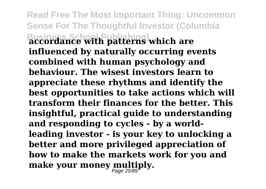**Read Free The Most Important Thing: Uncommon Sense For The Thoughtful Investor (Columbia Business School Publishing) accordance with patterns which are influenced by naturally occurring events combined with human psychology and behaviour. The wisest investors learn to appreciate these rhythms and identify the best opportunities to take actions which will transform their finances for the better. This insightful, practical guide to understanding and responding to cycles - by a worldleading investor - is your key to unlocking a better and more privileged appreciation of how to make the markets work for you and make your money multiply.** Page 25/89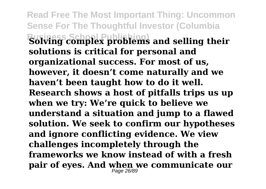**Read Free The Most Important Thing: Uncommon Sense For The Thoughtful Investor (Columbia Business School Publishing) Solving complex problems and selling their solutions is critical for personal and organizational success. For most of us, however, it doesn't come naturally and we haven't been taught how to do it well. Research shows a host of pitfalls trips us up when we try: We're quick to believe we understand a situation and jump to a flawed solution. We seek to confirm our hypotheses and ignore conflicting evidence. We view challenges incompletely through the frameworks we know instead of with a fresh pair of eyes. And when we communicate our** Page 26/89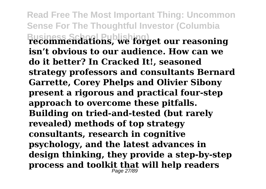**Read Free The Most Important Thing: Uncommon Sense For The Thoughtful Investor (Columbia Business School Publishing) recommendations, we forget our reasoning isn't obvious to our audience. How can we do it better? In Cracked It!, seasoned strategy professors and consultants Bernard Garrette, Corey Phelps and Olivier Sibony present a rigorous and practical four-step approach to overcome these pitfalls. Building on tried-and-tested (but rarely revealed) methods of top strategy consultants, research in cognitive psychology, and the latest advances in design thinking, they provide a step-by-step process and toolkit that will help readers** Page 27/89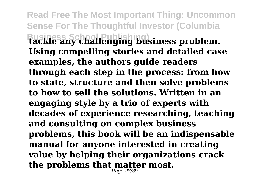**Read Free The Most Important Thing: Uncommon Sense For The Thoughtful Investor (Columbia Business School Publishing) tackle any challenging business problem. Using compelling stories and detailed case examples, the authors guide readers through each step in the process: from how to state, structure and then solve problems to how to sell the solutions. Written in an engaging style by a trio of experts with decades of experience researching, teaching and consulting on complex business problems, this book will be an indispensable manual for anyone interested in creating value by helping their organizations crack the problems that matter most.** Page 28/89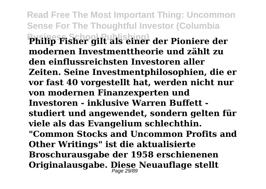**Read Free The Most Important Thing: Uncommon Sense For The Thoughtful Investor (Columbia Business School Publishing) Philip Fisher gilt als einer der Pioniere der modernen Investmenttheorie und zählt zu den einflussreichsten Investoren aller Zeiten. Seine Investmentphilosophien, die er vor fast 40 vorgestellt hat, werden nicht nur von modernen Finanzexperten und Investoren - inklusive Warren Buffett studiert und angewendet, sondern gelten für viele als das Evangelium schlechthin. "Common Stocks and Uncommon Profits and Other Writings" ist die aktualisierte Broschurausgabe der 1958 erschienenen Originalausgabe. Diese Neuauflage stellt** Page 29/89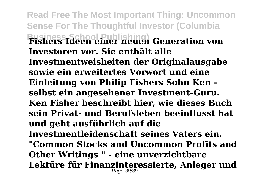**Read Free The Most Important Thing: Uncommon Sense For The Thoughtful Investor (Columbia Business School Publishing) Fishers Ideen einer neuen Generation von Investoren vor. Sie enthält alle Investmentweisheiten der Originalausgabe sowie ein erweitertes Vorwort und eine Einleitung von Philip Fishers Sohn Ken selbst ein angesehener Investment-Guru. Ken Fisher beschreibt hier, wie dieses Buch sein Privat- und Berufsleben beeinflusst hat und geht ausführlich auf die Investmentleidenschaft seines Vaters ein. "Common Stocks and Uncommon Profits and Other Writings " - eine unverzichtbare Lektüre für Finanzinteressierte, Anleger und** Page 30/89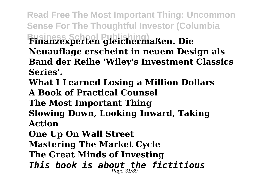**Read Free The Most Important Thing: Uncommon Sense For The Thoughtful Investor (Columbia Business School Publishing) Finanzexperten gleichermaßen. Die Neuauflage erscheint in neuem Design als Band der Reihe 'Wiley's Investment Classics Series'. What I Learned Losing a Million Dollars A Book of Practical Counsel The Most Important Thing**

**Slowing Down, Looking Inward, Taking Action**

**One Up On Wall Street Mastering The Market Cycle The Great Minds of Investing** *This book is about the fictitious* Page 31/89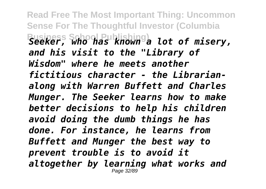**Read Free The Most Important Thing: Uncommon Sense For The Thoughtful Investor (Columbia Business School Publishing)** *Seeker, who has known a lot of misery, and his visit to the "Library of Wisdom" where he meets another fictitious character - the Librarianalong with Warren Buffett and Charles Munger. The Seeker learns how to make better decisions to help his children avoid doing the dumb things he has done. For instance, he learns from Buffett and Munger the best way to prevent trouble is to avoid it altogether by learning what works and* Page 32/89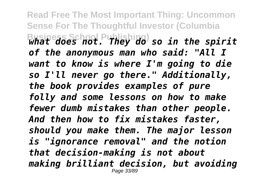**Read Free The Most Important Thing: Uncommon Sense For The Thoughtful Investor (Columbia Business School Publishing)** *what does not. They do so in the spirit of the anonymous man who said: "All I want to know is where I'm going to die so I'll never go there." Additionally, the book provides examples of pure folly and some lessons on how to make fewer dumb mistakes than other people. And then how to fix mistakes faster, should you make them. The major lesson is "ignorance removal" and the notion that decision-making is not about making brilliant decision, but avoiding* Page 33/89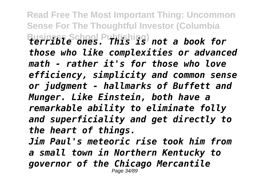**Read Free The Most Important Thing: Uncommon Sense For The Thoughtful Investor (Columbia Business School Publishing)** *terrible ones. This is not a book for those who like complexities or advanced math - rather it's for those who love efficiency, simplicity and common sense or judgment - hallmarks of Buffett and Munger. Like Einstein, both have a remarkable ability to eliminate folly and superficiality and get directly to the heart of things. Jim Paul's meteoric rise took him from a small town in Northern Kentucky to governor of the Chicago Mercantile* Page 34/89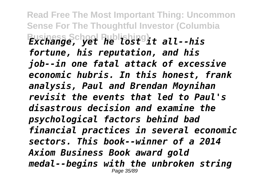**Read Free The Most Important Thing: Uncommon Sense For The Thoughtful Investor (Columbia Business School Publishing)** *Exchange, yet he lost it all--his fortune, his reputation, and his job--in one fatal attack of excessive economic hubris. In this honest, frank analysis, Paul and Brendan Moynihan revisit the events that led to Paul's disastrous decision and examine the psychological factors behind bad financial practices in several economic sectors. This book--winner of a 2014 Axiom Business Book award gold medal--begins with the unbroken string* Page 35/89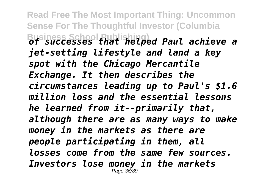**Read Free The Most Important Thing: Uncommon Sense For The Thoughtful Investor (Columbia Business School Publishing)** *of successes that helped Paul achieve a jet-setting lifestyle and land a key spot with the Chicago Mercantile Exchange. It then describes the circumstances leading up to Paul's \$1.6 million loss and the essential lessons he learned from it--primarily that, although there are as many ways to make money in the markets as there are people participating in them, all losses come from the same few sources. Investors lose money in the markets* Page 36/89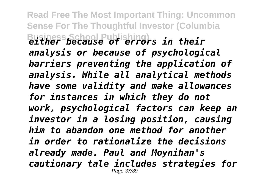**Read Free The Most Important Thing: Uncommon Sense For The Thoughtful Investor (Columbia Business School Publishing)** *either because of errors in their analysis or because of psychological barriers preventing the application of analysis. While all analytical methods have some validity and make allowances for instances in which they do not work, psychological factors can keep an investor in a losing position, causing him to abandon one method for another in order to rationalize the decisions already made. Paul and Moynihan's cautionary tale includes strategies for* Page 37/89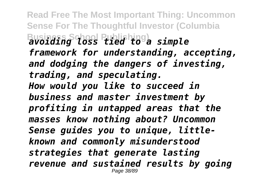**Read Free The Most Important Thing: Uncommon Sense For The Thoughtful Investor (Columbia Business School Publishing)** *avoiding loss tied to a simple framework for understanding, accepting, and dodging the dangers of investing, trading, and speculating. How would you like to succeed in business and master investment by profiting in untapped areas that the masses know nothing about? Uncommon Sense guides you to unique, littleknown and commonly misunderstood strategies that generate lasting revenue and sustained results by going* Page 38/89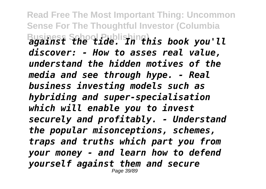**Read Free The Most Important Thing: Uncommon Sense For The Thoughtful Investor (Columbia Business School Publishing)** *against the tide. In this book you'll discover: - How to asses real value, understand the hidden motives of the media and see through hype. - Real business investing models such as hybriding and super-specialisation which will enable you to invest securely and profitably. - Understand the popular misonceptions, schemes, traps and truths which part you from your money - and learn how to defend yourself against them and secure* Page 39/89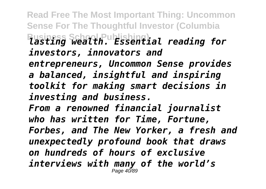**Read Free The Most Important Thing: Uncommon Sense For The Thoughtful Investor (Columbia Business School Publishing)** *lasting wealth. Essential reading for investors, innovators and entrepreneurs, Uncommon Sense provides a balanced, insightful and inspiring toolkit for making smart decisions in investing and business. From a renowned financial journalist who has written for Time, Fortune, Forbes, and The New Yorker, a fresh and unexpectedly profound book that draws on hundreds of hours of exclusive interviews with many of the world's* Page 40/89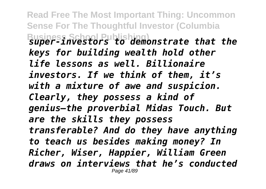**Read Free The Most Important Thing: Uncommon Sense For The Thoughtful Investor (Columbia Business School Publishing)** *super-investors to demonstrate that the keys for building wealth hold other life lessons as well. Billionaire investors. If we think of them, it's with a mixture of awe and suspicion. Clearly, they possess a kind of genius—the proverbial Midas Touch. But are the skills they possess transferable? And do they have anything to teach us besides making money? In Richer, Wiser, Happier, William Green draws on interviews that he's conducted* Page 41/89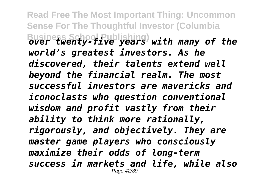**Read Free The Most Important Thing: Uncommon Sense For The Thoughtful Investor (Columbia Business School Publishing)** *over twenty-five years with many of the world's greatest investors. As he discovered, their talents extend well beyond the financial realm. The most successful investors are mavericks and iconoclasts who question conventional wisdom and profit vastly from their ability to think more rationally, rigorously, and objectively. They are master game players who consciously maximize their odds of long-term success in markets and life, while also* Page 42/89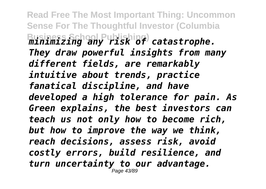**Read Free The Most Important Thing: Uncommon Sense For The Thoughtful Investor (Columbia Business School Publishing)** *minimizing any risk of catastrophe. They draw powerful insights from many different fields, are remarkably intuitive about trends, practice fanatical discipline, and have developed a high tolerance for pain. As Green explains, the best investors can teach us not only how to become rich, but how to improve the way we think, reach decisions, assess risk, avoid costly errors, build resilience, and turn uncertainty to our advantage.* Page 43/89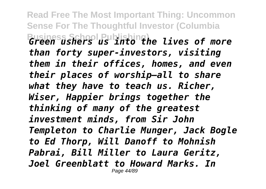**Read Free The Most Important Thing: Uncommon Sense For The Thoughtful Investor (Columbia Business School Publishing)** *Green ushers us into the lives of more than forty super-investors, visiting them in their offices, homes, and even their places of worship—all to share what they have to teach us. Richer, Wiser, Happier brings together the thinking of many of the greatest investment minds, from Sir John Templeton to Charlie Munger, Jack Bogle to Ed Thorp, Will Danoff to Mohnish Pabrai, Bill Miller to Laura Geritz, Joel Greenblatt to Howard Marks. In* Page 44/89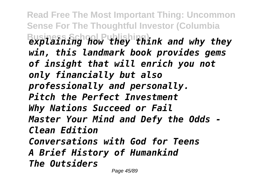**Read Free The Most Important Thing: Uncommon Sense For The Thoughtful Investor (Columbia Business School Publishing)** *explaining how they think and why they win, this landmark book provides gems of insight that will enrich you not only financially but also professionally and personally. Pitch the Perfect Investment Why Nations Succeed or Fail Master Your Mind and Defy the Odds - Clean Edition Conversations with God for Teens A Brief History of Humankind The Outsiders*

Page 45/89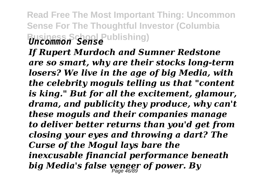## **Read Free The Most Important Thing: Uncommon Sense For The Thoughtful Investor (Columbia Business School Publishing)** *Uncommon Sense*

*If Rupert Murdoch and Sumner Redstone are so smart, why are their stocks long-term losers? We live in the age of big Media, with the celebrity moguls telling us that "content is king." But for all the excitement, glamour, drama, and publicity they produce, why can't these moguls and their companies manage to deliver better returns than you'd get from closing your eyes and throwing a dart? The Curse of the Mogul lays bare the inexcusable financial performance beneath big Media's false veneer of power. By* Page 46/89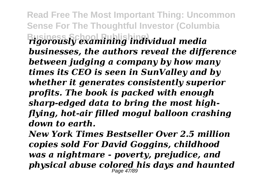**Read Free The Most Important Thing: Uncommon Sense For The Thoughtful Investor (Columbia Business School Publishing)** *rigorously examining individual media businesses, the authors reveal the difference between judging a company by how many times its CEO is seen in SunValley and by whether it generates consistently superior profits. The book is packed with enough sharp-edged data to bring the most highflying, hot-air filled mogul balloon crashing down to earth.*

*New York Times Bestseller Over 2.5 million copies sold For David Goggins, childhood was a nightmare - poverty, prejudice, and physical abuse colored his days and haunted* Page 47/89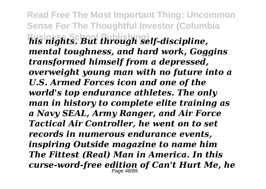**Read Free The Most Important Thing: Uncommon Sense For The Thoughtful Investor (Columbia Business School Publishing)** *his nights. But through self-discipline, mental toughness, and hard work, Goggins transformed himself from a depressed, overweight young man with no future into a U.S. Armed Forces icon and one of the world's top endurance athletes. The only man in history to complete elite training as a Navy SEAL, Army Ranger, and Air Force Tactical Air Controller, he went on to set records in numerous endurance events, inspiring Outside magazine to name him The Fittest (Real) Man in America. In this curse-word-free edition of Can't Hurt Me, he* Page 48/89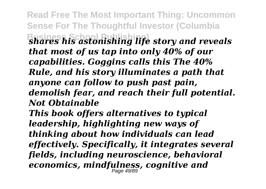**Read Free The Most Important Thing: Uncommon Sense For The Thoughtful Investor (Columbia Business Research Publishing** life story and reveals *that most of us tap into only 40% of our capabilities. Goggins calls this The 40% Rule, and his story illuminates a path that anyone can follow to push past pain, demolish fear, and reach their full potential. Not Obtainable This book offers alternatives to typical leadership, highlighting new ways of thinking about how individuals can lead effectively. Specifically, it integrates several fields, including neuroscience, behavioral economics, mindfulness, cognitive and* Page 49/89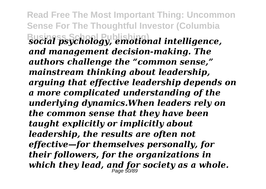**Read Free The Most Important Thing: Uncommon Sense For The Thoughtful Investor (Columbia Business School Publishing)** *social psychology, emotional intelligence, and management decision-making. The authors challenge the "common sense," mainstream thinking about leadership, arguing that effective leadership depends on a more complicated understanding of the underlying dynamics.When leaders rely on the common sense that they have been taught explicitly or implicitly about leadership, the results are often not effective—for themselves personally, for their followers, for the organizations in which they lead, and for society as a whole.* Page 50/89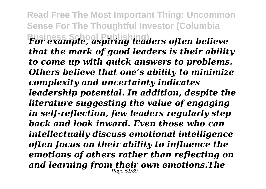**Read Free The Most Important Thing: Uncommon Sense For The Thoughtful Investor (Columbia Business School Publishing)** *For example, aspiring leaders often believe that the mark of good leaders is their ability to come up with quick answers to problems. Others believe that one's ability to minimize complexity and uncertainty indicates leadership potential. In addition, despite the literature suggesting the value of engaging in self-reflection, few leaders regularly step back and look inward. Even those who can intellectually discuss emotional intelligence often focus on their ability to influence the emotions of others rather than reflecting on and learning from their own emotions.The* Page 51/89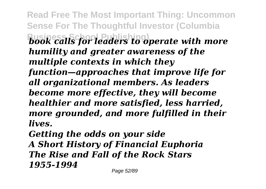**Read Free The Most Important Thing: Uncommon Sense For The Thoughtful Investor (Columbia Business Is for leaders to operate with more** *humility and greater awareness of the multiple contexts in which they function—approaches that improve life for all organizational members. As leaders become more effective, they will become healthier and more satisfied, less harried, more grounded, and more fulfilled in their lives.*

*Getting the odds on your side A Short History of Financial Euphoria The Rise and Fall of the Rock Stars 1955-1994*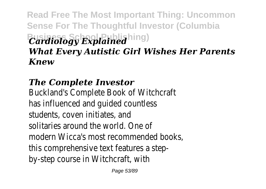## **Read Free The Most Important Thing: Uncommon Sense For The Thoughtful Investor (Columbia**  $Cardiology$  Explained hing) *What Every Autistic Girl Wishes Her Parents Knew*

## *The Complete Investor*

Buckland's Complete Book of Witchcraft has influenced and guided countless students, coven initiates, and solitaries around the world. One of modern Wicca's most recommended books, this comprehensive text features a stepby-step course in Witchcraft, with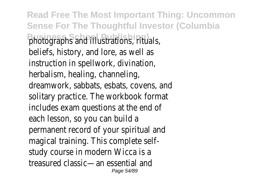**Read Free The Most Important Thing: Uncommon Sense For The Thoughtful Investor (Columbia** Busines School Publishing Pations, rituals, beliefs, history, and lore, as well as instruction in spellwork, divination, herbalism, healing, channeling, dreamwork, sabbats, esbats, covens, and solitary practice. The workbook format includes exam questions at the end of each lesson, so you can build a permanent record of your spiritual and magical training. This complete selfstudy course in modern Wicca is a treasured classic—an essential and Page 54/89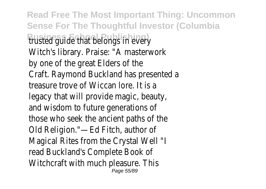**Read Free The Most Important Thing: Uncommon Sense For The Thoughtful Investor (Columbia Business School Publishing** in every Witch's library. Praise: "A masterwork by one of the great Elders of the Craft. Raymond Buckland has presented a treasure trove of Wiccan lore. It is a legacy that will provide magic, beauty, and wisdom to future generations of those who seek the ancient paths of the Old Religion."—Ed Fitch, author of Magical Rites from the Crystal Well "I read Buckland's Complete Book of Witchcraft with much pleasure. This Page 55/89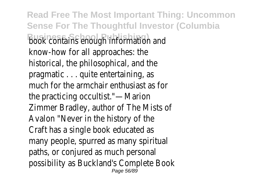**Read Free The Most Important Thing: Uncommon Sense For The Thoughtful Investor (Columbia Business School Publishing)** book contains enough information and know-how for all approaches: the historical, the philosophical, and the pragmatic . . . quite entertaining, as much for the armchair enthusiast as for the practicing occultist."—Marion Zimmer Bradley, author of The Mists of Avalon "Never in the history of the Craft has a single book educated as many people, spurred as many spiritual paths, or conjured as much personal possibility as Buckland's Complete Book Page 56/89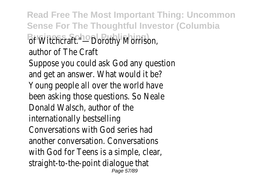**Read Free The Most Important Thing: Uncommon Sense For The Thoughtful Investor (Columbia** Busines Schart Publishing)<br> **Business School Publishing** author of The Craft Suppose you could ask God any question and get an answer. What would it be? Young people all over the world have been asking those questions. So Neale Donald Walsch, author of the internationally bestselling Conversations with God series had another conversation. Conversations with God for Teens is a simple, clear, straight-to-the-point dialogue that Page 57/89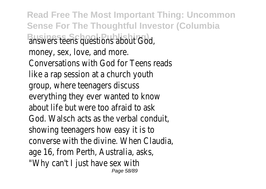**Read Free The Most Important Thing: Uncommon Sense For The Thoughtful Investor (Columbia Business School Publishing)** answers teens questions about God, money, sex, love, and more. Conversations with God for Teens reads like a rap session at a church youth group, where teenagers discuss everything they ever wanted to know about life but were too afraid to ask God. Walsch acts as the verbal conduit, showing teenagers how easy it is to converse with the divine. When Claudia, age 16, from Perth, Australia, asks, "Why can't I just have sex with Page 58/89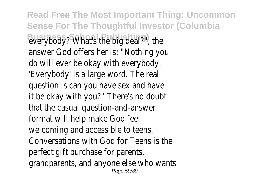**Read Free The Most Important Thing: Uncommon Sense For The Thoughtful Investor (Columbia** Busing Body? What's the big deal?", the answer God offers her is: "Nothing you do will ever be okay with everybody. 'Everybody' is a large word. The real question is can you have sex and have it be okay with you?" There's no doubt that the casual question-and-answer format will help make God feel welcoming and accessible to teens. Conversations with God for Teens is the perfect gift purchase for parents, grandparents, and anyone else who wants Page 59/89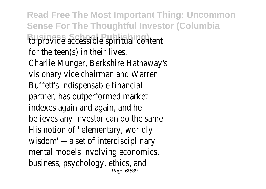**Read Free The Most Important Thing: Uncommon Sense For The Thoughtful Investor (Columbia Business School Publishing)** to provide accessible spiritual content for the teen(s) in their lives. Charlie Munger, Berkshire Hathaway's visionary vice chairman and Warren Buffett's indispensable financial partner, has outperformed market indexes again and again, and he believes any investor can do the same. His notion of "elementary, worldly wisdom"—a set of interdisciplinary mental models involving economics, business, psychology, ethics, and Page 60/89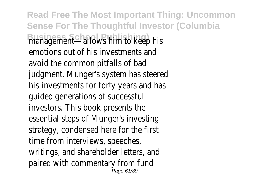**Read Free The Most Important Thing: Uncommon Sense For The Thoughtful Investor (Columbia Busing School Publishing)** mim to keep his emotions out of his investments and avoid the common pitfalls of bad judgment. Munger's system has steered his investments for forty years and has guided generations of successful investors. This book presents the essential steps of Munger's investing strategy, condensed here for the first time from interviews, speeches, writings, and shareholder letters, and paired with commentary from fund Page 61/89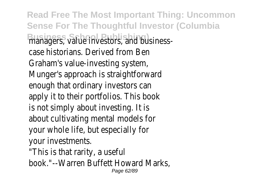**Read Free The Most Important Thing: Uncommon Sense For The Thoughtful Investor (Columbia Busing School Publishing)** managers and businesscase historians. Derived from Ben Graham's value-investing system, Munger's approach is straightforward enough that ordinary investors can apply it to their portfolios. This book is not simply about investing. It is about cultivating mental models for your whole life, but especially for your investments. "This is that rarity, a useful

book."--Warren Buffett Howard Marks, Page 62/89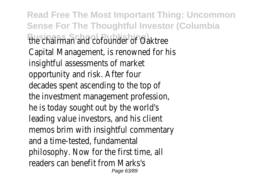**Read Free The Most Important Thing: Uncommon Sense For The Thoughtful Investor (Columbia Business Schaal Publishing) under of Oaktree** Capital Management, is renowned for his insightful assessments of market opportunity and risk. After four decades spent ascending to the top of the investment management profession, he is today sought out by the world's leading value investors, and his client memos brim with insightful commentary and a time-tested, fundamental philosophy. Now for the first time, all readers can benefit from Marks's Page 63/89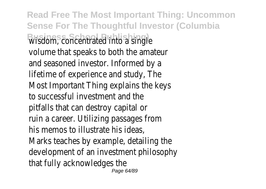**Read Free The Most Important Thing: Uncommon Sense For The Thoughtful Investor (Columbia Business School Publishing)** wisdom, concentrated into a single volume that speaks to both the amateur and seasoned investor. Informed by a lifetime of experience and study, The Most Important Thing explains the keys to successful investment and the pitfalls that can destroy capital or ruin a career. Utilizing passages from his memos to illustrate his ideas, Marks teaches by example, detailing the development of an investment philosophy that fully acknowledges the Page 64/89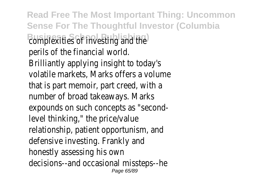**Read Free The Most Important Thing: Uncommon Sense For The Thoughtful Investor (Columbia Business School Publishing)** complexities of investing and the perils of the financial world. Brilliantly applying insight to today's volatile markets, Marks offers a volume that is part memoir, part creed, with a number of broad takeaways. Marks expounds on such concepts as "secondlevel thinking," the price/value relationship, patient opportunism, and defensive investing. Frankly and honestly assessing his own decisions--and occasional missteps--he Page 65/89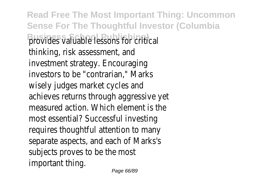**Read Free The Most Important Thing: Uncommon Sense For The Thoughtful Investor (Columbia Business Valuable lessons for critical** thinking, risk assessment, and investment strategy. Encouraging investors to be "contrarian," Marks wisely judges market cycles and achieves returns through aggressive yet measured action. Which element is the most essential? Successful investing requires thoughtful attention to many separate aspects, and each of Marks's subjects proves to be the most important thing.

Page 66/89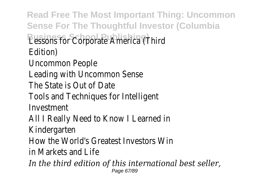**Read Free The Most Important Thing: Uncommon Sense For The Thoughtful Investor (Columbia Business Sebpoc Bublishing)** America (Third Edition) Uncommon People Leading with Uncommon Sense The State is Out of Date Tools and Techniques for Intelligent Investment All I Really Need to Know I Learned in Kindergarten How the World's Greatest Investors Win in Markets and Life *In the third edition of this international best seller,* Page 67/89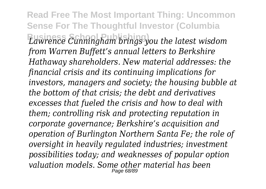**Read Free The Most Important Thing: Uncommon Sense For The Thoughtful Investor (Columbia Business School Publishing)** *Lawrence Cunningham brings you the latest wisdom from Warren Buffett's annual letters to Berkshire Hathaway shareholders. New material addresses: the financial crisis and its continuing implications for investors, managers and society; the housing bubble at the bottom of that crisis; the debt and derivatives excesses that fueled the crisis and how to deal with them; controlling risk and protecting reputation in corporate governance; Berkshire's acquisition and operation of Burlington Northern Santa Fe; the role of oversight in heavily regulated industries; investment possibilities today; and weaknesses of popular option valuation models. Some other material has been* Page 68/89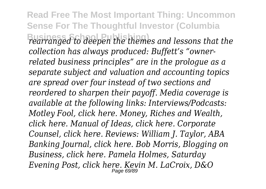**Read Free The Most Important Thing: Uncommon Sense For The Thoughtful Investor (Columbia Business School Publishing)** *rearranged to deepen the themes and lessons that the collection has always produced: Buffett's "ownerrelated business principles" are in the prologue as a separate subject and valuation and accounting topics are spread over four instead of two sections and reordered to sharpen their payoff. Media coverage is available at the following links: Interviews/Podcasts: Motley Fool, click here. Money, Riches and Wealth, click here. Manual of Ideas, click here. Corporate Counsel, click here. Reviews: William J. Taylor, ABA Banking Journal, click here. Bob Morris, Blogging on Business, click here. Pamela Holmes, Saturday Evening Post, click here. Kevin M. LaCroix, D&O* Page 69/89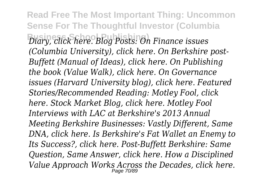**Read Free The Most Important Thing: Uncommon Sense For The Thoughtful Investor (Columbia Business School Publishing)** *Diary, click here. Blog Posts: On Finance issues (Columbia University), click here. On Berkshire post-Buffett (Manual of Ideas), click here. On Publishing the book (Value Walk), click here. On Governance issues (Harvard University blog), click here. Featured Stories/Recommended Reading: Motley Fool, click here. Stock Market Blog, click here. Motley Fool Interviews with LAC at Berkshire's 2013 Annual Meeting Berkshire Businesses: Vastly Different, Same DNA, click here. Is Berkshire's Fat Wallet an Enemy to Its Success?, click here. Post-Buffett Berkshire: Same Question, Same Answer, click here. How a Disciplined Value Approach Works Across the Decades, click here.* Page 70/89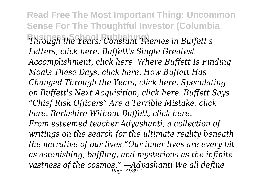**Read Free The Most Important Thing: Uncommon Sense For The Thoughtful Investor (Columbia Business School Publishing)** *Through the Years: Constant Themes in Buffett's Letters, click here. Buffett's Single Greatest Accomplishment, click here. Where Buffett Is Finding Moats These Days, click here. How Buffett Has Changed Through the Years, click here. Speculating on Buffett's Next Acquisition, click here. Buffett Says "Chief Risk Officers" Are a Terrible Mistake, click here. Berkshire Without Buffett, click here. From esteemed teacher Adyashanti, a collection of writings on the search for the ultimate reality beneath the narrative of our lives "Our inner lives are every bit as astonishing, baffling, and mysterious as the infinite vastness of the cosmos." —Adyashanti We all define* Page 71/89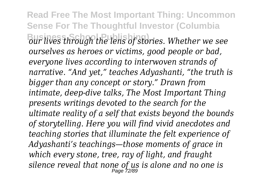**Read Free The Most Important Thing: Uncommon Sense For The Thoughtful Investor (Columbia Business School Publishing)** *our lives through the lens of stories. Whether we see ourselves as heroes or victims, good people or bad, everyone lives according to interwoven strands of narrative. "And yet," teaches Adyashanti, "the truth is bigger than any concept or story." Drawn from intimate, deep-dive talks, The Most Important Thing presents writings devoted to the search for the ultimate reality of a self that exists beyond the bounds of storytelling. Here you will find vivid anecdotes and teaching stories that illuminate the felt experience of Adyashanti's teachings—those moments of grace in which every stone, tree, ray of light, and fraught silence reveal that none of us is alone and no one is* Page 72/89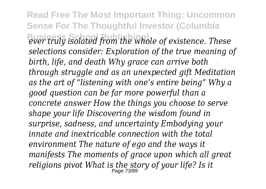**Read Free The Most Important Thing: Uncommon Sense For The Thoughtful Investor (Columbia Business School Publishing)** *ever truly isolated from the whole of existence. These selections consider: Exploration of the true meaning of birth, life, and death Why grace can arrive both through struggle and as an unexpected gift Meditation as the art of "listening with one's entire being" Why a good question can be far more powerful than a concrete answer How the things you choose to serve shape your life Discovering the wisdom found in surprise, sadness, and uncertainty Embodying your innate and inextricable connection with the total environment The nature of ego and the ways it manifests The moments of grace upon which all great religions pivot What is the story of your life? Is it* Page 73/89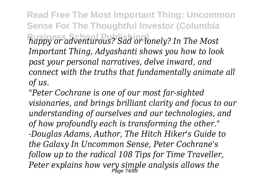**Read Free The Most Important Thing: Uncommon Sense For The Thoughtful Investor (Columbia Business School Publishing)** *happy or adventurous? Sad or lonely? In The Most Important Thing, Adyashanti shows you how to look past your personal narratives, delve inward, and connect with the truths that fundamentally animate all of us.*

*"Peter Cochrane is one of our most far-sighted visionaries, and brings brilliant clarity and focus to our understanding of ourselves and our technologies, and of how profoundly each is transforming the other." -Douglas Adams, Author, The Hitch Hiker's Guide to the Galaxy In Uncommon Sense, Peter Cochrane's follow up to the radical 108 Tips for Time Traveller, Peter explains how very simple analysis allows the* Page 74/89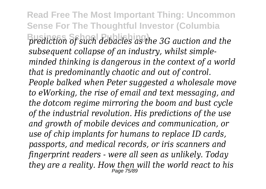**Read Free The Most Important Thing: Uncommon Sense For The Thoughtful Investor (Columbia Business School Publishing)** *prediction of such debacles as the 3G auction and the subsequent collapse of an industry, whilst simpleminded thinking is dangerous in the context of a world that is predominantly chaotic and out of control. People balked when Peter suggested a wholesale move to eWorking, the rise of email and text messaging, and the dotcom regime mirroring the boom and bust cycle of the industrial revolution. His predictions of the use and growth of mobile devices and communication, or use of chip implants for humans to replace ID cards, passports, and medical records, or iris scanners and fingerprint readers - were all seen as unlikely. Today they are a reality. How then will the world react to his* Page 75/89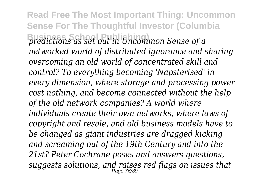**Read Free The Most Important Thing: Uncommon Sense For The Thoughtful Investor (Columbia Business School Publishing)** *predictions as set out in Uncommon Sense of a networked world of distributed ignorance and sharing overcoming an old world of concentrated skill and control? To everything becoming 'Napsterised' in every dimension, where storage and processing power cost nothing, and become connected without the help of the old network companies? A world where individuals create their own networks, where laws of copyright and resale, and old business models have to be changed as giant industries are dragged kicking and screaming out of the 19th Century and into the 21st? Peter Cochrane poses and answers questions, suggests solutions, and raises red flags on issues that* Page 76/89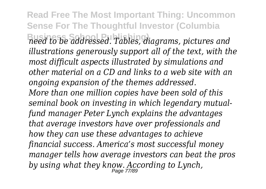**Read Free The Most Important Thing: Uncommon Sense For The Thoughtful Investor (Columbia Business School Publishing)** *need to be addressed. Tables, diagrams, pictures and illustrations generously support all of the text, with the most difficult aspects illustrated by simulations and other material on a CD and links to a web site with an ongoing expansion of the themes addressed. More than one million copies have been sold of this seminal book on investing in which legendary mutualfund manager Peter Lynch explains the advantages that average investors have over professionals and how they can use these advantages to achieve financial success. America's most successful money manager tells how average investors can beat the pros by using what they know. According to Lynch,* Page 77/89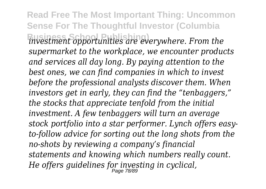**Read Free The Most Important Thing: Uncommon Sense For The Thoughtful Investor (Columbia Business School Publishing)** *investment opportunities are everywhere. From the supermarket to the workplace, we encounter products and services all day long. By paying attention to the best ones, we can find companies in which to invest before the professional analysts discover them. When investors get in early, they can find the "tenbaggers," the stocks that appreciate tenfold from the initial investment. A few tenbaggers will turn an average stock portfolio into a star performer. Lynch offers easyto-follow advice for sorting out the long shots from the no-shots by reviewing a company's financial statements and knowing which numbers really count. He offers guidelines for investing in cyclical,* Page 78/89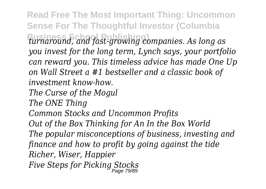**Read Free The Most Important Thing: Uncommon Sense For The Thoughtful Investor (Columbia Business School Publishing)** *turnaround, and fast-growing companies. As long as you invest for the long term, Lynch says, your portfolio can reward you. This timeless advice has made One Up on Wall Street a #1 bestseller and a classic book of investment know-how. The Curse of the Mogul The ONE Thing Common Stocks and Uncommon Profits Out of the Box Thinking for An In the Box World The popular misconceptions of business, investing and finance and how to profit by going against the tide Richer, Wiser, Happier Five Steps for Picking Stocks* Page 79/89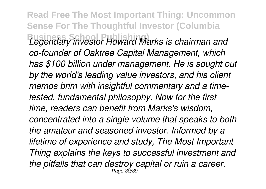**Read Free The Most Important Thing: Uncommon Sense For The Thoughtful Investor (Columbia Business School Publishing)** *Legendary investor Howard Marks is chairman and co-founder of Oaktree Capital Management, which has \$100 billion under management. He is sought out by the world's leading value investors, and his client memos brim with insightful commentary and a timetested, fundamental philosophy. Now for the first time, readers can benefit from Marks's wisdom, concentrated into a single volume that speaks to both the amateur and seasoned investor. Informed by a lifetime of experience and study, The Most Important Thing explains the keys to successful investment and the pitfalls that can destroy capital or ruin a career.* Page 80/89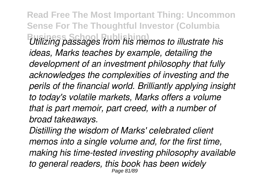**Read Free The Most Important Thing: Uncommon Sense For The Thoughtful Investor (Columbia Business School Publishing)** *Utilizing passages from his memos to illustrate his ideas, Marks teaches by example, detailing the development of an investment philosophy that fully acknowledges the complexities of investing and the perils of the financial world. Brilliantly applying insight to today's volatile markets, Marks offers a volume that is part memoir, part creed, with a number of broad takeaways.*

*Distilling the wisdom of Marks' celebrated client memos into a single volume and, for the first time, making his time-tested investing philosophy available to general readers, this book has been widely* Page 81/89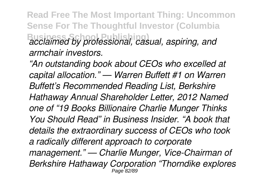**Read Free The Most Important Thing: Uncommon Sense For The Thoughtful Investor (Columbia Business School Publishing)** *acclaimed by professional, casual, aspiring, and armchair investors.*

*"An outstanding book about CEOs who excelled at capital allocation." — Warren Buffett #1 on Warren Buffett's Recommended Reading List, Berkshire Hathaway Annual Shareholder Letter, 2012 Named one of "19 Books Billionaire Charlie Munger Thinks You Should Read" in Business Insider. "A book that details the extraordinary success of CEOs who took a radically different approach to corporate management." — Charlie Munger, Vice-Chairman of Berkshire Hathaway Corporation "Thorndike explores* Page 82/89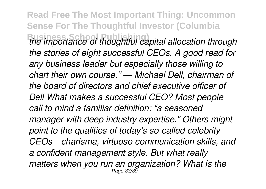**Read Free The Most Important Thing: Uncommon Sense For The Thoughtful Investor (Columbia Business School Publishing)** *the importance of thoughtful capital allocation through the stories of eight successful CEOs. A good read for any business leader but especially those willing to chart their own course." — Michael Dell, chairman of the board of directors and chief executive officer of Dell What makes a successful CEO? Most people call to mind a familiar definition: "a seasoned manager with deep industry expertise." Others might point to the qualities of today's so-called celebrity CEOs—charisma, virtuoso communication skills, and a confident management style. But what really matters when you run an organization? What is the* Page 83/89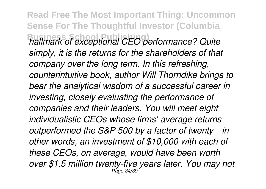**Read Free The Most Important Thing: Uncommon Sense For The Thoughtful Investor (Columbia Business School Publishing)** *hallmark of exceptional CEO performance? Quite simply, it is the returns for the shareholders of that company over the long term. In this refreshing, counterintuitive book, author Will Thorndike brings to bear the analytical wisdom of a successful career in investing, closely evaluating the performance of companies and their leaders. You will meet eight individualistic CEOs whose firms' average returns outperformed the S&P 500 by a factor of twenty—in other words, an investment of \$10,000 with each of these CEOs, on average, would have been worth over \$1.5 million twenty-five years later. You may not* Page 84/89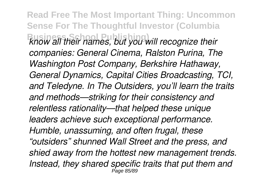**Read Free The Most Important Thing: Uncommon Sense For The Thoughtful Investor (Columbia Business School Publishing)** *know all their names, but you will recognize their companies: General Cinema, Ralston Purina, The Washington Post Company, Berkshire Hathaway, General Dynamics, Capital Cities Broadcasting, TCI, and Teledyne. In The Outsiders, you'll learn the traits and methods—striking for their consistency and relentless rationality—that helped these unique leaders achieve such exceptional performance. Humble, unassuming, and often frugal, these "outsiders" shunned Wall Street and the press, and shied away from the hottest new management trends. Instead, they shared specific traits that put them and* Page 85/89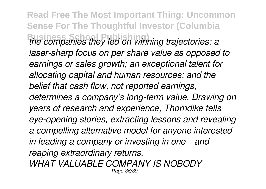**Read Free The Most Important Thing: Uncommon Sense For The Thoughtful Investor (Columbia Business School Publishing)** *the companies they led on winning trajectories: a laser-sharp focus on per share value as opposed to earnings or sales growth; an exceptional talent for allocating capital and human resources; and the belief that cash flow, not reported earnings, determines a company's long-term value. Drawing on years of research and experience, Thorndike tells eye-opening stories, extracting lessons and revealing a compelling alternative model for anyone interested in leading a company or investing in one—and reaping extraordinary returns. WHAT VALUABLE COMPANY IS NOBODY* Page 86/89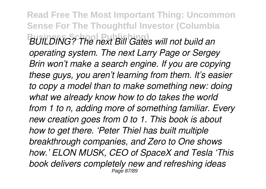**Read Free The Most Important Thing: Uncommon Sense For The Thoughtful Investor (Columbia Business School Publishing)** *BUILDING? The next Bill Gates will not build an operating system. The next Larry Page or Sergey Brin won't make a search engine. If you are copying these guys, you aren't learning from them. It's easier to copy a model than to make something new: doing what we already know how to do takes the world from 1 to n, adding more of something familiar. Every new creation goes from 0 to 1. This book is about how to get there. 'Peter Thiel has built multiple breakthrough companies, and Zero to One shows how.' ELON MUSK, CEO of SpaceX and Tesla 'This book delivers completely new and refreshing ideas* Page 87/89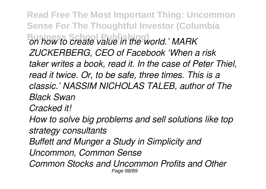**Read Free The Most Important Thing: Uncommon Sense For The Thoughtful Investor (Columbia Business School Publishing)** *on how to create value in the world.' MARK ZUCKERBERG, CEO of Facebook 'When a risk taker writes a book, read it. In the case of Peter Thiel, read it twice. Or, to be safe, three times. This is a classic.' NASSIM NICHOLAS TALEB, author of The Black Swan Cracked it! How to solve big problems and sell solutions like top strategy consultants Buffett and Munger a Study in Simplicity and Uncommon, Common Sense Common Stocks and Uncommon Profits and Other* Page 88/89